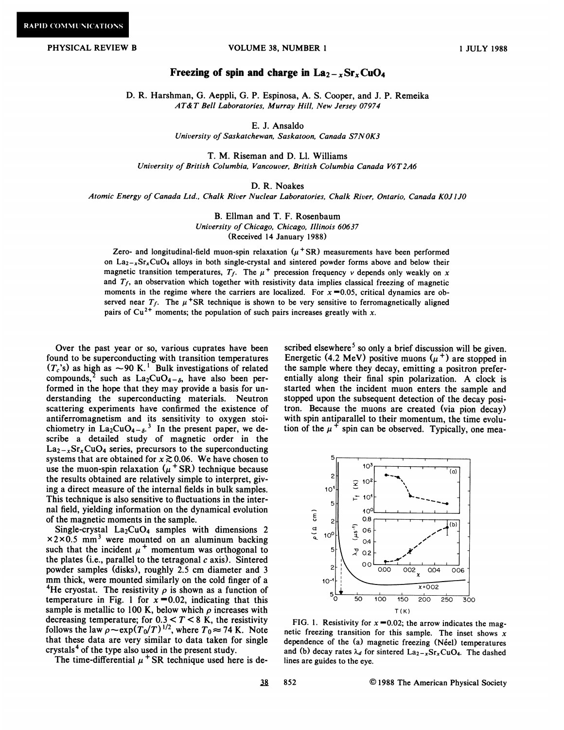## PHYSICAL REVIEW B VOLUME 38, NUMBER 1

## Freezing of spin and charge in  $\text{La}_{2-x}\text{Sr}_{x}\text{CuO}_{4}$

D. R. Harshman, G. Aeppli, G. P. Espinosa, A. S. Cooper, and J. P. Remeika AT& T Bell Laboratories, Murray Hill, New Jersey 07974

E. J. Ansaldo

University of Saskatchewan, Saskatoon, Canada S7NOK3

T. M. Riseman and D. Ll. Williams University of British Columbia, Vancouver, British Columbia Canada V6T2A6

## D. R. Noakes

Atomic Energy of Canada Ltd., Chalk River Nuclear Laboratories, Chalk River, Ontario, Canada KOJ1J0

B. Ellman and T. F. Rosenbaum University of Chicago, Chicago, Illinois 60637 (Received 14 January 1988)

Zero- and longitudinal-field muon-spin relaxation  $(\mu$  SR) measurements have been performed on  $La_{2-x}Sr_xCuO_4$  alloys in both single-crystal and sintered powder forms above and below their magnetic transition temperatures,  $T_f$ . The  $\mu^+$  precession frequency v depends only weakly on x and  $T_f$ , an observation which together with resistivity data implies classical freezing of magnetic moments in the regime where the carriers are localized. For  $x = 0.05$ , critical dynamics are observed near  $T_f$ . The  $\mu$ <sup>+</sup>SR technique is shown to be very sensitive to ferromagnetically aligned pairs of  $Cu^{2+}$  moments; the population of such pairs increases greatly with x.

Over the past year or so, various cuprates have been found to be superconducting with transition temperatures  $(T_c)$  as high as  $\sim$ 90 K.<sup>1</sup> Bulk investigations of related compounds,<sup>2</sup> such as  $La_2CuO_{4-\delta}$ , have also been performed in the hope that they may provide a basis for understanding the superconducting materials. Neutron scattering experiments have confirmed the existence of antiferromagnetism and its sensitivity to oxygen stoichiometry in  $La_2CuO_{4-\delta}$ .<sup>3</sup> In the present paper, we describe a detailed study of magnetic order in the  $\text{La}_{2-x}\text{Sr}_x\text{CuO}_4$  series, precursors to the superconducting systems that are obtained for  $x \gtrsim 0.06$ . We have chosen to use the muon-spin relaxation  $(\mu^+ SR)$  technique because the results obtained are relatively simple to interpret, giving a direct measure of the internal fields in bulk samples. This technique is also sensitive to fluctuations in the internal field, yielding information on the dynamical evolution of the magnetic moments in the sample.

Single-crystal  $La_2CuO_4$  samples with dimensions 2  $\times$ 2 $\times$ 0.5 mm<sup>3</sup> were mounted on an aluminum backing such that the incident  $\mu^+$  momentum was orthogonal to the plates (i.e., parallel to the tetragonal  $c$  axis). Sintered powder samples (disks), roughly 2.5 cm diameter and 3 mm thick, were mounted similarly on the cold finger of a <sup>4</sup>He cryostat. The resistivity  $\rho$  is shown as a function of temperature in Fig. 1 for  $x = 0.02$ , indicating that this sample is metallic to 100 K, below which  $\rho$  increases with sample is metallic to 100 K, below which  $\rho$  increases wit<br>decreasing temperature; for  $0.3 < T < 8$  K, the resistivity follows the law  $\rho \sim \exp(T_0/T)^{1/2}$ , where  $T_0 \approx 74$  K. Note that these data are very similar to data taken for single crystals<sup>4</sup> of the type also used in the present study.

The time-differential  $\mu$ <sup>+</sup> SR technique used here is de-

scribed elsewhere<sup>5</sup> so only a brief discussion will be given. Energetic (4.2 MeV) positive muons  $(\mu^+)$  are stopped in the sample where they decay, emitting a positron preferentially along their final spin polarization. A clock is started when the incident muon enters the sample and stopped upon the subsequent detection of the decay positron. Because the muons are created (via pion decay) with spin antiparallel to their momentum, the time evolution of the  $\mu^+$  spin can be observed. Typically, one mea-



FIG. 1. Resistivity for  $x = 0.02$ ; the arrow indicates the magnetic freezing transition for this sample. The inset shows  $x$ dependence of the (a) magnetic freezing (Néel) temperatures and (b) decay rates  $\lambda_d$  for sintered La<sub>2-x</sub>Sr<sub>x</sub>CuO<sub>4</sub>. The dashed lines are guides to the eye.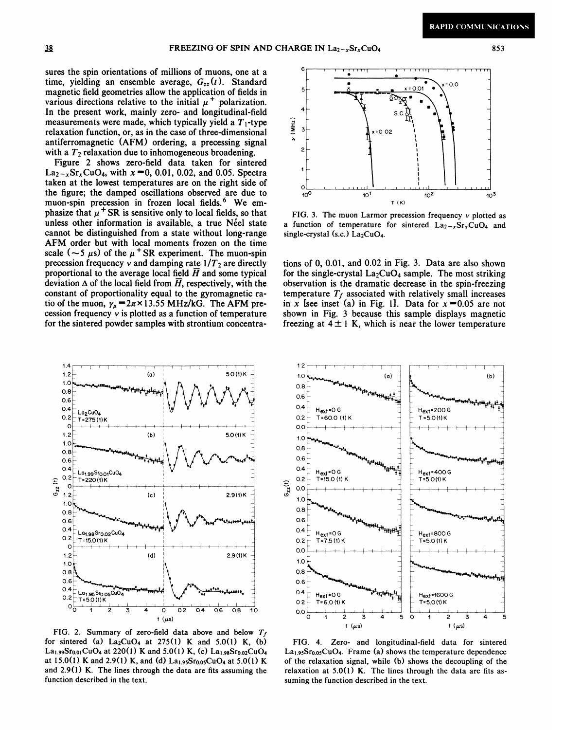853

sures the spin orientations of millions of muons, one at a time, yielding an ensemble average,  $G_{zz}(t)$ . Standard magnetic field geometries allow the application of fields in various directions relative to the initial  $\mu^+$  polarization. In the present work, mainly zero- and longitudinal-field measurements were made, which typically yield a  $T_1$ -type relaxation function, or, as in the case of three-dimensional antiferromagnetic (AFM) ordering, a precessing signal with a  $T_2$  relaxation due to inhomogeneous broadening.

Figure 2 shows zero-field data taken for sintered  $La_{2-x}Sr_{x}CuO_{4}$ , with  $x=0$ , 0.01, 0.02, and 0.05. Spectra taken at the lowest temperatures are on the right side of the figure; the damped oscillations observed are due to muon-spin precession in frozen local fields.<sup>6</sup> We emphasize that  $\mu$ <sup>+</sup> SR is sensitive only to local fields, so that unless other information is available, a true Néel state cannot be distinguished from a state without long-range AFM order but with local moments frozen on the time scale ( $\sim$ 5  $\mu$ s) of the  $\mu$ <sup>+</sup> SR experiment. The muon-spin precession frequency v and damping rate  $1/T_2$  are directly proportional to the average local field  $\overline{H}$  and some typical deviation  $\Delta$  of the local field from  $\overline{H}$ , respectively, with the constant of proportionality equal to the gyromagnetic ratio of the muon,  $\gamma_{\mu} = 2\pi \times 13.55 \text{ MHz/KG}$ . The AFM precession frequency  $v$  is plotted as a function of temperature for the sintered powder samples with strontium concentra-



FIG. 2. Summary of zero-field data above and below  $T_f$ for sintered (a)  $La_2CuO_4$  at 275(1) K and 5.0(1) K, (b) La<sub>1.99</sub>Sr<sub>0.01</sub>CuO<sub>4</sub> at 220(1) K and 5.0(1) K, (c) La<sub>1.98</sub>Sr<sub>0.02</sub>CuO<sub>4</sub> at 15.0(1) K and 2.9(1) K, and (d) La1.95Sr0.05CuO4 at 5.0(1) K and 2.9(1) K. The lines through the data are fits assuming the function described in the text.



FIG. 3. The muon Larmor precession frequency  $v$  plotted as a function of temperature for sintered  $La_{2-x}Sr_xCuO_4$  and single-crystal (s.c.)  $La<sub>2</sub>CuO<sub>4</sub>$ .

tions of  $0, 0.01$ , and  $0.02$  in Fig. 3. Data are also shown for the single-crystal  $La_2CuO_4$  sample. The most striking observation is the dramatic decrease in the spin-freezing temperature  $T_f$  associated with relatively small increases in x [see inset (a) in Fig. 1]. Data for  $x = 0.05$  are not shown in Fig. 3 because this sample displays magnetic freezing at  $4 \pm 1$  K, which is near the lower temperature



FIG. 4. Zero- and longitudinal-field data for sintered  $La<sub>1.95</sub>Sr<sub>0.05</sub>CuO<sub>4</sub>$ . Frame (a) shows the temperature dependence of the relaxation signal, while (b) shows the decoupling of the relaxation at 5.0(1) K. The lines through the data are fits assuming the function described in the text.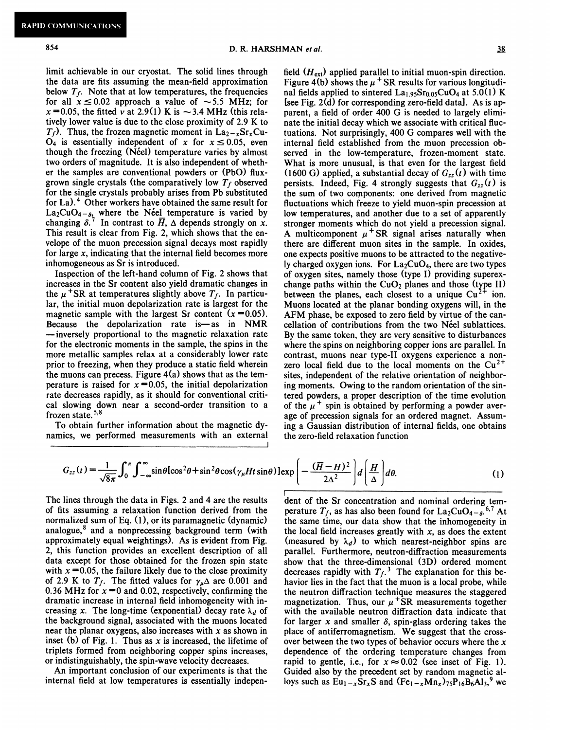$\overline{1}$ 

limit achievable in our cryostat. The solid lines through the data are fits assuming the mean-field approximation below  $T_f$ . Note that at low temperatures, the frequencies for all  $x \le 0.02$  approach a value of  $\sim 5.5$  MHz; for  $x = 0.05$ , the fitted v at 2.9(1) K is  $\sim$  3.4 MHz (this relatively lower value is due to the close proximity of 2.9 K to  $T_f$ ). Thus, the frozen magnetic moment in La<sub>2-x</sub>Sr<sub>x</sub>Cu- $\overrightarrow{O}_4$  is essentially independent of x for  $x \le 0.05$ , even though the freezing (Néel) temperature varies by almost two orders of magnitude. It is also independent of whether the samples are conventional powders or (PbO) fluxgrown single crystals (the comparatively low  $T_f$  observed for the single crystals probably arises from Pb substituted for La).<sup>4</sup> Other workers have obtained the same result for  $La_2CuO_{4-\delta_2}$  where the Neel temperature is varied by changing  $\delta$ .<sup>7</sup> In contrast to  $\overline{H}$ ,  $\Delta$  depends strongly on x. This result is clear from Fig. 2, which shows that the envelope of the muon precession signal decays most rapidly for large  $x$ , indicating that the internal field becomes more inhomogeneous as Sr is introduced.

Inspection of the left-hand column of Fig. 2 shows that increases in the Sr content also yield dramatic changes in the  $\mu$ <sup>+</sup>SR at temperatures slightly above  $T_f$ . In particular, the initial muon depolarization rate is largest for the magnetic sample with the largest Sr content  $(x=0.05)$ . —Because the depolarization rate is—as in NMR -inversely proportional to the magnetic relaxation rate for the electronic moments in the sample, the spins in the more metallic samples relax at a considerably lower rate prior to freezing, when they produce a static field wherein the muons can precess. Figure  $4(a)$  shows that as the temperature is raised for  $x = 0.05$ , the initial depolarization rate decreases rapidly, as it should for conventional critical slowing down near a second-order transition to a frozen state. $5,8$ 

To obtain further information about the magnetic dynamics, we performed measurements with an external

field  $(H_{ext})$  applied parallel to initial muon-spin direction. Figure 4(b) shows the  $\mu$ <sup>+</sup> SR results for various longitudinal fields applied to sintered  $La<sub>1.95</sub>Sr<sub>0.05</sub>CuO<sub>4</sub>$  at 5.0(1) K [see Fig. 2(d) for corresponding zero-field data). As is apparent, a field of order 400 G is needed to largely eliminate the initial decay which we associate with critical fluctuations. Not surprisingly, 400 G compares well with the internal field established from the muon precession observed in the low-temperature, frozen-moment state. What is more unusual, is that even for the largest field (1600 G) applied, a substantial decay of  $G_{zz}(t)$  with time persists. Indeed, Fig. 4 strongly suggests that  $G_{zz}(t)$  is the sum of two components: one derived from magnetic fluctuations which freeze to yield muon-spin precession at low temperatures, and another due to a set of apparently stronger moments which do not yield a precession signal. A multicomponent  $\mu$ <sup>+</sup> SR signal arises naturally when there are different muon sites in the sample. In oxides, one expects positive muons to be attracted to the negatively charged oxygen ions. For  $La_2CuO_4$ , there are two types of oxygen sites, namely those (type I) providing superexchange paths within the  $CuO<sub>2</sub>$  planes and those (type II) between the planes, each closest to a unique  $Cu<sup>2+</sup>$  ion. Muons located at the planar bonding oxygens will, in the AFM phase, be exposed to zero field by virtue of the cancellation of contributions from the two Neel sublattices. By the same token, they are very sensitive to disturbances where the spins on neighboring copper ions are parallel. In contrast, muons near type-II oxygens experience a nonzero local field due to the local moments on the  $Cu<sup>2+</sup>$ sites, independent of the relative orientation of neighboring moments. Owing to the random orientation of the sintered powders, a proper description of the time evolution of the  $\mu$ <sup>+</sup> spin is obtained by performing a powder average of precession signals for an ordered magnet. Assuming a Gaussian distribution of internal fields, one obtains the zero-field relaxation function

$$
G_{zz}(t) = \frac{1}{\sqrt{8\pi}} \int_0^{\pi} \int_{-\infty}^{\infty} \sin\theta \left[\cos^2\theta + \sin^2\theta \cos(\gamma_\mu H t \sin\theta)\right] \exp\left[-\frac{(\overline{H} - H)^2}{2\Delta^2}\right] d\left(\frac{H}{\Delta}\right) d\theta. \tag{1}
$$

The lines through the data in Figs. 2 and 4 are the results of fits assuming a relaxation function derived from the normalized sum of Eq. (1), or its paramagnetic (dynamic) analogue,<sup>8</sup> and a nonprecessing background term (with approximately equal weightings). As is evident from Fig. 2, this function provides an excellent description of all data except for those obtained for the frozen spin state with  $x = 0.05$ , the failure likely due to the close proximity of 2.9 K to  $T_f$ . The fitted values for  $\gamma_\mu \Delta$  are 0.001 and 0.36 MHz for  $x = 0$  and 0.02, respectively, confirming the dramatic increase in internal field inhomogeneity with increasing x. The long-time (exponential) decay rate  $\lambda_d$  of the background signal, associated with the muons located near the planar oxygens, also increases with  $x$  as shown in inset (b) of Fig. 1. Thus as x is increased, the lifetime of triplets formed from neighboring copper spins increases, or indistinguishably, the spin-wave velocity decreases.

An important conclusion of our experiments is that the internal field at low temperatures is essentially indepen-

l dent of the Sr concentration and nominal ordering temperature  $T_f$ , as has also been found for  $La_2CuO_{4-\delta}$ .<sup>6,7</sup> At the same time, our data show that the inhomogeneity in the local field increases greatly with  $x$ , as does the extent (measured by  $\lambda_d$ ) to which nearest-neighbor spins are parallel. Furthermore, neutron-diffraction measurements show that the three-dimensional (3D) ordered moment decreases rapidly with  $T_f$ .<sup>3</sup> The explanation for this behavior lies in the fact that the muon is a local probe, while the neutron diffraction technique measures the staggered magnetization. Thus, our  $\mu$ <sup>+</sup>SR measurements together with the available neutron diffraction data indicate that for larger x and smaller  $\delta$ , spin-glass ordering takes the place of antiferromagnetism. We suggest that the crossover between the two types of behavior occurs where the  $x$ dependence of the ordering temperature changes from rapid to gentle, i.e., for  $x \approx 0.02$  (see inset of Fig. 1). Guided also by the precedent set by random magnetic alloys such as  $Eu_{1-x}Sr_{x}S$  and  $(Fe_{1-x}Mn_{x})_{75}P_{16}B_{6}A1_{3}$ ,<sup>9</sup> we